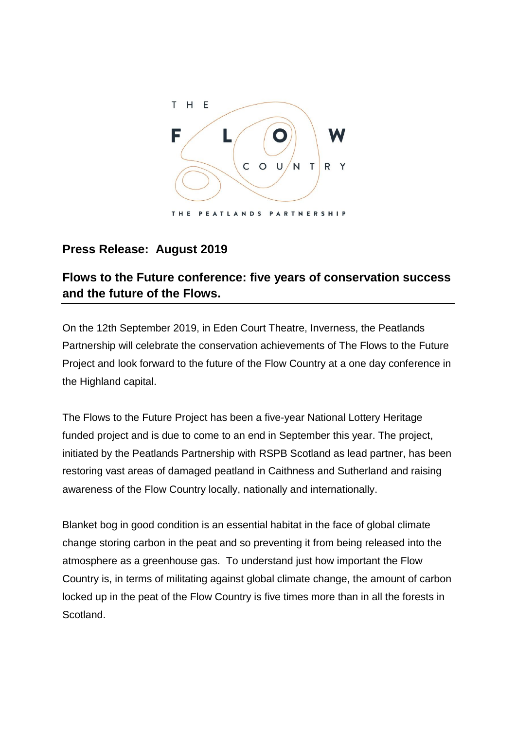

## **Press Release: August 2019**

## **Flows to the Future conference: five years of conservation success and the future of the Flows.**

On the 12th September 2019, in Eden Court Theatre, Inverness, the Peatlands Partnership will celebrate the conservation achievements of The Flows to the Future Project and look forward to the future of the Flow Country at a one day conference in the Highland capital.

The Flows to the Future Project has been a five-year National Lottery Heritage funded project and is due to come to an end in September this year. The project, initiated by the Peatlands Partnership with RSPB Scotland as lead partner, has been restoring vast areas of damaged peatland in Caithness and Sutherland and raising awareness of the Flow Country locally, nationally and internationally.

Blanket bog in good condition is an essential habitat in the face of global climate change storing carbon in the peat and so preventing it from being released into the atmosphere as a greenhouse gas. To understand just how important the Flow Country is, in terms of militating against global climate change, the amount of carbon locked up in the peat of the Flow Country is five times more than in all the forests in Scotland.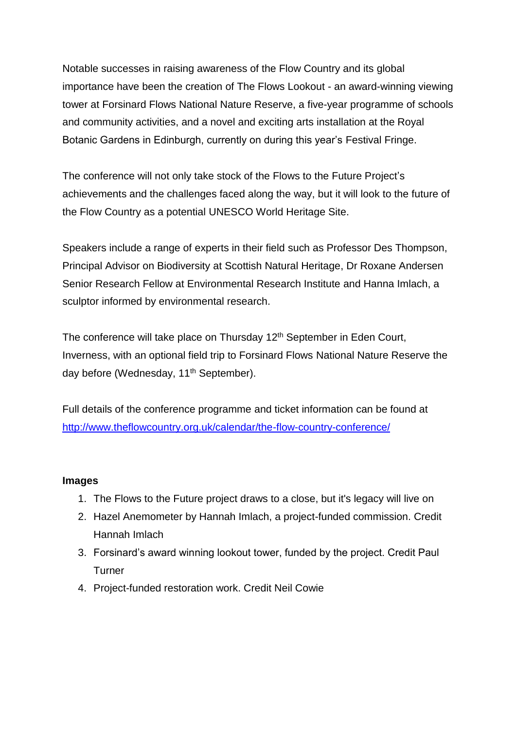Notable successes in raising awareness of the Flow Country and its global importance have been the creation of The Flows Lookout - an award-winning viewing tower at Forsinard Flows National Nature Reserve, a five-year programme of schools and community activities, and a novel and exciting arts installation at the Royal Botanic Gardens in Edinburgh, currently on during this year's Festival Fringe.

The conference will not only take stock of the Flows to the Future Project's achievements and the challenges faced along the way, but it will look to the future of the Flow Country as a potential UNESCO World Heritage Site.

Speakers include a range of experts in their field such as Professor Des Thompson, Principal Advisor on Biodiversity at Scottish Natural Heritage, Dr Roxane Andersen Senior Research Fellow at Environmental Research Institute and Hanna Imlach, a sculptor informed by environmental research.

The conference will take place on Thursday 12<sup>th</sup> September in Eden Court, Inverness, with an optional field trip to Forsinard Flows National Nature Reserve the day before (Wednesday, 11<sup>th</sup> September).

Full details of the conference programme and ticket information can be found at <http://www.theflowcountry.org.uk/calendar/the-flow-country-conference/>

## **Images**

- 1. The Flows to the Future project draws to a close, but it's legacy will live on
- 2. Hazel Anemometer by Hannah Imlach, a project-funded commission. Credit Hannah Imlach
- 3. Forsinard's award winning lookout tower, funded by the project. Credit Paul **Turner**
- 4. Project-funded restoration work. Credit Neil Cowie